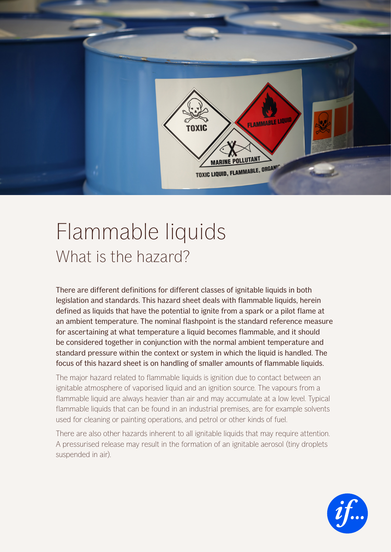

# Flammable liquids What is the hazard?

There are different definitions for different classes of ignitable liquids in both legislation and standards. This hazard sheet deals with flammable liquids, herein defined as liquids that have the potential to ignite from a spark or a pilot flame at an ambient temperature. The nominal flashpoint is the standard reference measure for ascertaining at what temperature a liquid becomes flammable, and it should be considered together in conjunction with the normal ambient temperature and standard pressure within the context or system in which the liquid is handled. The focus of this hazard sheet is on handling of smaller amounts of flammable liquids.

The major hazard related to flammable liquids is ignition due to contact between an ignitable atmosphere of vaporised liquid and an ignition source. The vapours from a flammable liquid are always heavier than air and may accumulate at a low level. Typical flammable liquids that can be found in an industrial premises, are for example solvents used for cleaning or painting operations, and petrol or other kinds of fuel.

There are also other hazards inherent to all ignitable liquids that may require attention. A pressurised release may result in the formation of an ignitable aerosol (tiny droplets suspended in air).

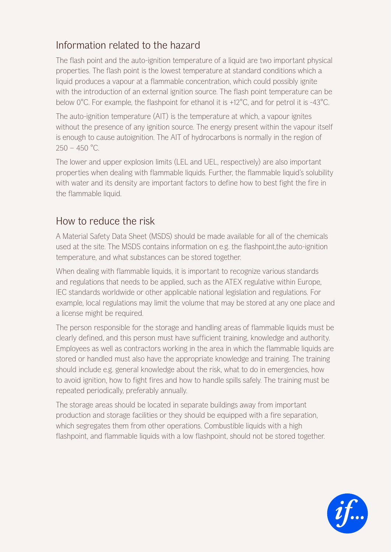## Information related to the hazard

The flash point and the auto-ignition temperature of a liquid are two important physical properties. The flash point is the lowest temperature at standard conditions which a liquid produces a vapour at a flammable concentration, which could possibly ignite with the introduction of an external ignition source. The flash point temperature can be below 0°C. For example, the flashpoint for ethanol it is +12°C, and for petrol it is -43°C.

The auto-ignition temperature (AIT) is the temperature at which, a vapour ignites without the presence of any ignition source. The energy present within the vapour itself is enough to cause autoignition. The AIT of hydrocarbons is normally in the region of  $250 - 450$  °C.

The lower and upper explosion limits (LEL and UEL, respectively) are also important properties when dealing with flammable liquids. Further, the flammable liquid's solubility with water and its density are important factors to define how to best fight the fire in the flammable liquid.

### How to reduce the risk

A Material Safety Data Sheet (MSDS) should be made available for all of the chemicals used at the site. The MSDS contains information on e.g. the flashpoint,the auto-ignition temperature, and what substances can be stored together.

When dealing with flammable liquids, it is important to recognize various standards and regulations that needs to be applied, such as the ATEX regulative within Europe, IEC standards worldwide or other applicable national legislation and regulations. For example, local regulations may limit the volume that may be stored at any one place and a license might be required.

The person responsible for the storage and handling areas of flammable liquids must be clearly defined, and this person must have sufficient training, knowledge and authority. Employees as well as contractors working in the area in which the flammable liquids are stored or handled must also have the appropriate knowledge and training. The training should include e.g. general knowledge about the risk, what to do in emergencies, how to avoid ignition, how to fight fires and how to handle spills safely. The training must be repeated periodically, preferably annually.

The storage areas should be located in separate buildings away from important production and storage facilities or they should be equipped with a fire separation, which segregates them from other operations. Combustible liquids with a high flashpoint, and flammable liquids with a low flashpoint, should not be stored together.